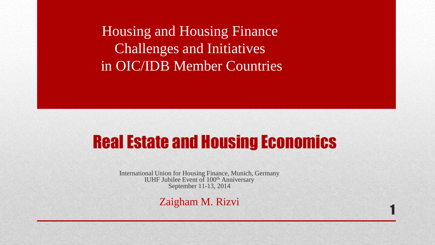Housing and Housing Finance Challenges and Initiatives in OIC/IDB Member Countries

# Real Estate and Housing Economics

1

International Union for Housing Finance, Munich, Germany IUHF Jubilee Event of 100<sup>th</sup> Anniversary September 11-13, 2014

Zaigham M. Rizvi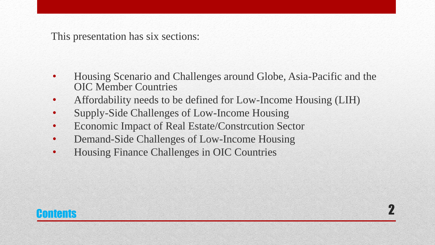This presentation has six sections:

• Housing Scenario and Challenges around Globe, Asia-Pacific and the OIC Member Countries

2

- Affordability needs to be defined for Low-Income Housing (LIH)
- Supply-Side Challenges of Low-Income Housing
- Economic Impact of Real Estate/Constrcution Sector
- Demand-Side Challenges of Low-Income Housing
- Housing Finance Challenges in OIC Countries

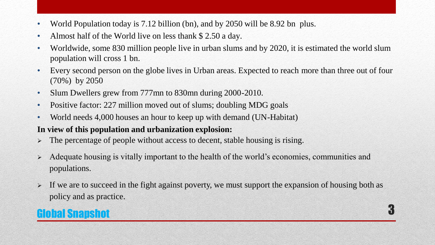- World Population today is 7.12 billion (bn), and by 2050 will be 8.92 bn plus.
- Almost half of the World live on less thank \$2.50 a day.
- Worldwide, some 830 million people live in urban slums and by 2020, it is estimated the world slum population will cross 1 bn.
- Every second person on the globe lives in Urban areas. Expected to reach more than three out of four (70%) by 2050
- Slum Dwellers grew from 777mn to 830mn during 2000-2010.
- Positive factor: 227 million moved out of slums; doubling MDG goals
- World needs 4,000 houses an hour to keep up with demand (UN-Habitat)

#### **In view of this population and urbanization explosion:**

- $\triangleright$  The percentage of people without access to decent, stable housing is rising.
- Adequate housing is vitally important to the health of the world's economies, communities and populations.
- $\triangleright$  If we are to succeed in the fight against poverty, we must support the expansion of housing both as policy and as practice.

## Global Snapshot 3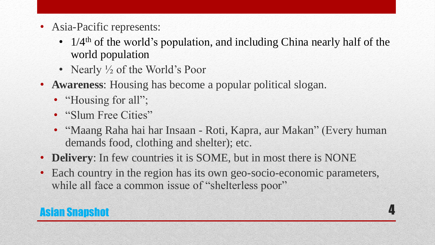- Asia-Pacific represents:
	- $1/4$ <sup>th</sup> of the world's population, and including China nearly half of the world population
	- Nearly  $\frac{1}{2}$  of the World's Poor
- **Awareness**: Housing has become a popular political slogan.
	- "Housing for all";
	- "Slum Free Cities"
	- "Maang Raha hai har Insaan Roti, Kapra, aur Makan" (Every human demands food, clothing and shelter); etc.

- **Delivery**: In few countries it is SOME, but in most there is NONE
- Each country in the region has its own geo-socio-economic parameters, while all face a common issue of "shelterless poor"

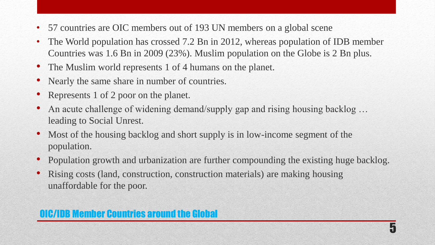- 57 countries are OIC members out of 193 UN members on a global scene
- The World population has crossed 7.2 Bn in 2012, whereas population of IDB member Countries was 1.6 Bn in 2009 (23%). Muslim population on the Globe is 2 Bn plus.
- The Muslim world represents 1 of 4 humans on the planet.
- Nearly the same share in number of countries.
- Represents 1 of 2 poor on the planet.
- An acute challenge of widening demand/supply gap and rising housing backlog ... leading to Social Unrest.
- Most of the housing backlog and short supply is in low-income segment of the population.
- Population growth and urbanization are further compounding the existing huge backlog.

• Rising costs (land, construction, construction materials) are making housing unaffordable for the poor.

## OIC/IDB Member Countries around the Global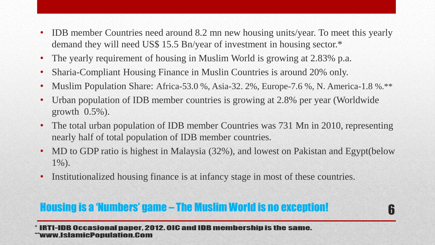- IDB member Countries need around 8.2 mn new housing units/year. To meet this yearly demand they will need US\$ 15.5 Bn/year of investment in housing sector.\*
- The yearly requirement of housing in Muslim World is growing at 2.83% p.a.
- Sharia-Compliant Housing Finance in Muslin Countries is around 20% only.
- Muslim Population Share: Africa-53.0 %, Asia-32. 2%, Europe-7.6 %, N. America-1.8 %.\*\*
- Urban population of IDB member countries is growing at 2.8% per year (Worldwide growth 0.5%).
- The total urban population of IDB member Countries was 731 Mn in 2010, representing nearly half of total population of IDB member countries.
- MD to GDP ratio is highest in Malaysia (32%), and lowest on Pakistan and Egypt(below 1%).

Institutionalized housing finance is at infancy stage in most of these countries.

## Housing is a 'Numbers' game – The Muslim World is no exception!

**IRTI-IDB Occasional paper. 2012. OIC and IDB membership is the same.** ww.IslamicPopulation.Com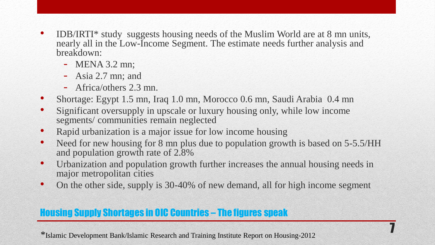- IDB/IRTI\* study suggests housing needs of the Muslim World are at 8 mn units, nearly all in the Low-Income Segment. The estimate needs further analysis and breakdown:
	- MENA 3.2 mn;
	- Asia 2.7 mn; and
	- Africa/others 2.3 mn.
- Shortage: Egypt 1.5 mn, Iraq 1.0 mn, Morocco 0.6 mn, Saudi Arabia 0.4 mn
- Significant oversupply in upscale or luxury housing only, while low income segments/ communities remain neglected
- Rapid urbanization is a major issue for low income housing
- Need for new housing for 8 mn plus due to population growth is based on 5-5.5/HH and population growth rate of 2.8%
- Urbanization and population growth further increases the annual housing needs in major metropolitan cities
- On the other side, supply is 30-40% of new demand, all for high income segment

### Housing Supply Shortages in OIC Countries – The figures speak

\*Islamic Development Bank/Islamic Research and Training Institute Report on Housing-2012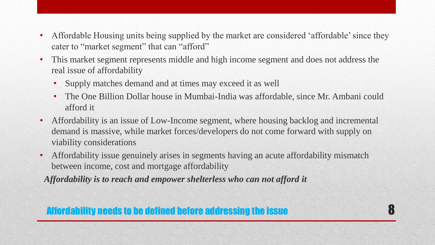- Affordable Housing units being supplied by the market are considered 'affordable' since they cater to "market segment" that can "afford"
- This market segment represents middle and high income segment and does not address the real issue of affordability
	- Supply matches demand and at times may exceed it as well
	- The One Billion Dollar house in Mumbai-India was affordable, since Mr. Ambani could afford it

- Affordability is an issue of Low-Income segment, where housing backlog and incremental demand is massive, while market forces/developers do not come forward with supply on viability considerations
- Affordability issue genuinely arises in segments having an acute affordability mismatch between income, cost and mortgage affordability

 *Affordability is to reach and empower shelterless who can not afford it*

## Affordability needs to be defined before addressing the issue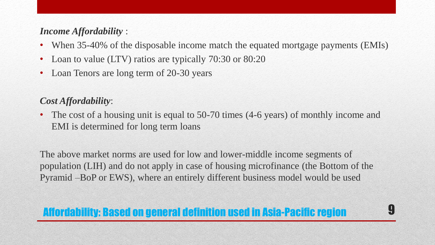### *Income Affordability* :

- When 35-40% of the disposable income match the equated mortgage payments (EMIs)
- Loan to value (LTV) ratios are typically 70:30 or 80:20
- Loan Tenors are long term of 20-30 years

### *Cost Affordability*:

• The cost of a housing unit is equal to 50-70 times (4-6 years) of monthly income and EMI is determined for long term loans

The above market norms are used for low and lower-middle income segments of population (LIH) and do not apply in case of housing microfinance (the Bottom of the Pyramid –BoP or EWS), where an entirely different business model would be used

## Affordability: Based on general definition used in Asia-Pacific region 9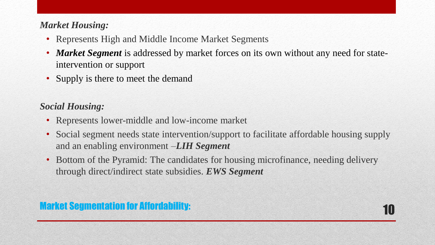### *Market Housing:*

- Represents High and Middle Income Market Segments
- *Market Segment* is addressed by market forces on its own without any need for stateintervention or support
- Supply is there to meet the demand

### *Social Housing:*

- Represents lower-middle and low-income market
- Social segment needs state intervention/support to facilitate affordable housing supply and an enabling environment –*LIH Segment*
- Bottom of the Pyramid: The candidates for housing microfinance, needing delivery through direct/indirect state subsidies. *EWS Segment*

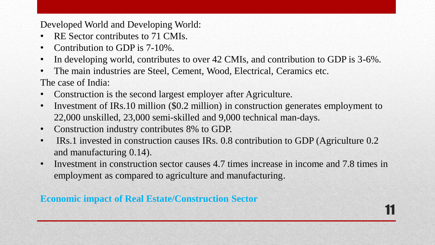Developed World and Developing World:

- RE Sector contributes to 71 CMIs.
- Contribution to GDP is 7-10%.
- In developing world, contributes to over 42 CMIs, and contribution to GDP is 3-6%.
- The main industries are Steel, Cement, Wood, Electrical, Ceramics etc. The case of India:
- Construction is the second largest employer after Agriculture.
- Investment of IRs.10 million (\$0.2 million) in construction generates employment to 22,000 unskilled, 23,000 semi-skilled and 9,000 technical man-days.
- Construction industry contributes 8% to GDP.
- IRs.1 invested in construction causes IRs. 0.8 contribution to GDP (Agriculture 0.2) and manufacturing 0.14).
- Investment in construction sector causes 4.7 times increase in income and 7.8 times in employment as compared to agriculture and manufacturing.

11

### **Economic impact of Real Estate/Construction Sector**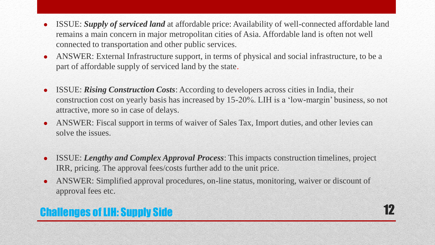- ISSUE: *Supply of serviced land* at affordable price: Availability of well-connected affordable land remains a main concern in major metropolitan cities of Asia. Affordable land is often not well connected to transportation and other public services.
- ANSWER: External Infrastructure support, in terms of physical and social infrastructure, to be a part of affordable supply of serviced land by the state.
- ISSUE: *Rising Construction Costs*: According to developers across cities in India, their construction cost on yearly basis has increased by 15-20%. LIH is a 'low-margin' business, so not attractive, more so in case of delays.
- ANSWER: Fiscal support in terms of waiver of Sales Tax, Import duties, and other levies can solve the issues.
- ISSUE: *Lengthy and Complex Approval Process*: This impacts construction timelines, project IRR, pricing. The approval fees/costs further add to the unit price.
- ANSWER: Simplified approval procedures, on-line status, monitoring, waiver or discount of approval fees etc.

## Challenges of LIH: Supply Side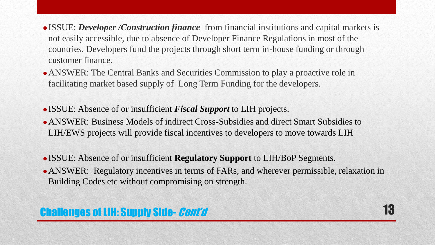- ISSUE: *Developer /Construction finance* from financial institutions and capital markets is not easily accessible, due to absence of Developer Finance Regulations in most of the countries. Developers fund the projects through short term in-house funding or through customer finance.
- ANSWER: The Central Banks and Securities Commission to play a proactive role in facilitating market based supply of Long Term Funding for the developers.
- ISSUE: Absence of or insufficient *Fiscal Support* to LIH projects.
- ANSWER: Business Models of indirect Cross-Subsidies and direct Smart Subsidies to LIH/EWS projects will provide fiscal incentives to developers to move towards LIH
- ISSUE: Absence of or insufficient **Regulatory Support** to LIH/BoP Segments.
- ANSWER: Regulatory incentives in terms of FARs, and wherever permissible, relaxation in Building Codes etc without compromising on strength.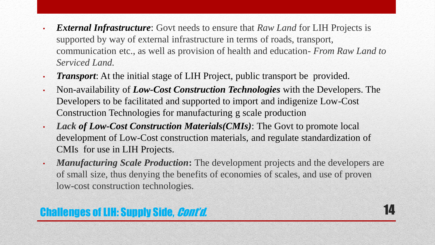- *External Infrastructure*: Govt needs to ensure that *Raw Land* for LIH Projects is supported by way of external infrastructure in terms of roads, transport, communication etc., as well as provision of health and education- *From Raw Land to Serviced Land.*
- *Transport*: At the initial stage of LIH Project, public transport be provided.
- Non-availability of *Low-Cost Construction Technologies* with the Developers. The Developers to be facilitated and supported to import and indigenize Low-Cost Construction Technologies for manufacturing g scale production
- *Lack of Low-Cost Construction Materials(CMIs)*: The Govt to promote local development of Low-Cost construction materials, and regulate standardization of CMIs for use in LIH Projects.
- *Manufacturing Scale Production***:** The development projects and the developers are of small size, thus denying the benefits of economies of scales, and use of proven low-cost construction technologies.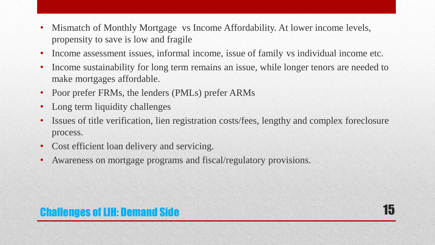- Mismatch of Monthly Mortgage vs Income Affordability. At lower income levels, propensity to save is low and fragile
- Income assessment issues, informal income, issue of family vs individual income etc.
- Income sustainability for long term remains an issue, while longer tenors are needed to make mortgages affordable.
- Poor prefer FRMs, the lenders (PMLs) prefer ARMs
- Long term liquidity challenges
- Issues of title verification, lien registration costs/fees, lengthy and complex foreclosure process.
- Cost efficient loan delivery and servicing.
- Awareness on mortgage programs and fiscal/regulatory provisions.

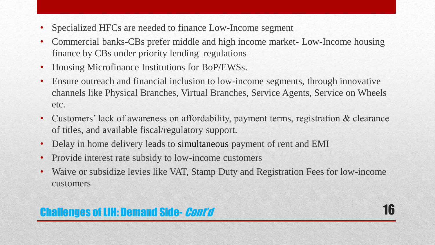- Specialized HFCs are needed to finance Low-Income segment
- Commercial banks-CBs prefer middle and high income market- Low-Income housing finance by CBs under priority lending regulations
- Housing Microfinance Institutions for BoP/EWSs.
- Ensure outreach and financial inclusion to low-income segments, through innovative channels like Physical Branches, Virtual Branches, Service Agents, Service on Wheels etc.
- Customers' lack of awareness on affordability, payment terms, registration & clearance of titles, and available fiscal/regulatory support.
- Delay in home delivery leads to simultaneous payment of rent and EMI
- Provide interest rate subsidy to low-income customers
- Waive or subsidize levies like VAT, Stamp Duty and Registration Fees for low-income customers

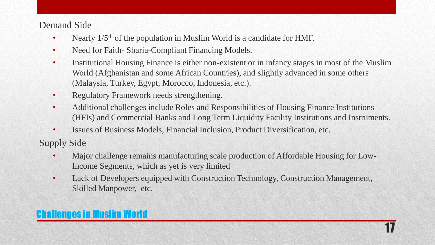#### Demand Side

- Nearly 1/5<sup>th</sup> of the population in Muslim World is a candidate for HMF.
- Need for Faith-Sharia-Compliant Financing Models.
- Institutional Housing Finance is either non-existent or in infancy stages in most of the Muslim World (Afghanistan and some African Countries), and slightly advanced in some others (Malaysia, Turkey, Egypt, Morocco, Indonesia, etc.).
- Regulatory Framework needs strengthening.
- Additional challenges include Roles and Responsibilities of Housing Finance Institutions (HFIs) and Commercial Banks and Long Term Liquidity Facility Institutions and Instruments.
- Issues of Business Models, Financial Inclusion, Product Diversification, etc.

Supply Side

- Major challenge remains manufacturing scale production of Affordable Housing for Low-Income Segments, which as yet is very limited
- Lack of Developers equipped with Construction Technology, Construction Management, Skilled Manpower, etc.